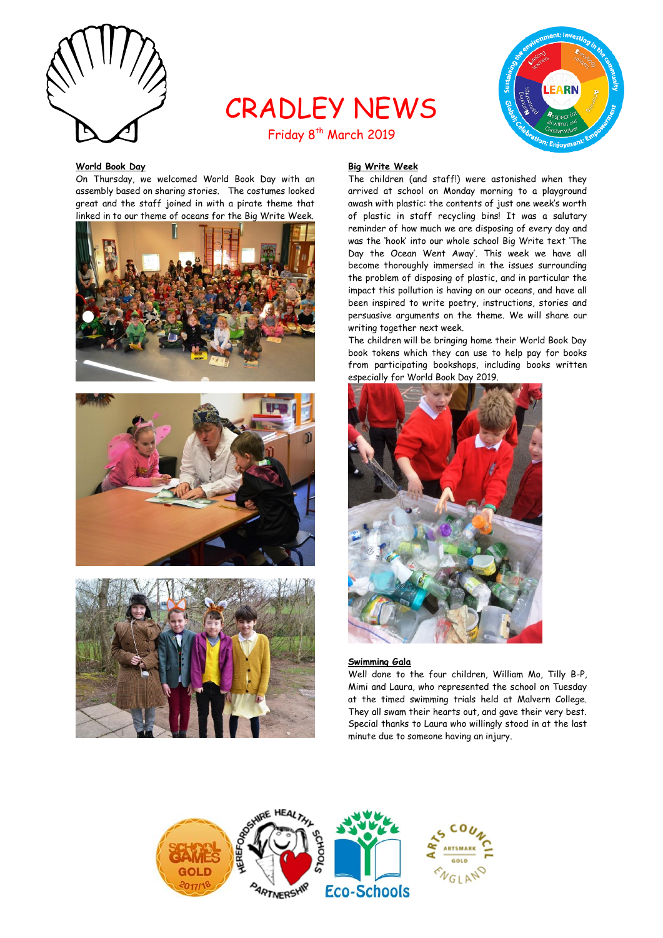

# CRADLEY NEWS Friday 8<sup>th</sup> March 2019



# **World Book Day**

On Thursday, we welcomed World Book Day with an assembly based on sharing stories. The costumes looked great and the staff joined in with a pirate theme that linked in to our theme of oceans for the Big Write Week.







# **Big Write Week**

The children (and staff!) were astonished when they arrived at school on Monday morning to a playground awash with plastic: the contents of just one week's worth of plastic in staff recycling bins! It was a salutary reminder of how much we are disposing of every day and was the 'hook' into our whole school Big Write text 'The Day the Ocean Went Away'. This week we have all become thoroughly immersed in the issues surrounding the problem of disposing of plastic, and in particular the impact this pollution is having on our oceans, and have all been inspired to write poetry, instructions, stories and persuasive arguments on the theme. We will share our writing together next week.

The children will be bringing home their World Book Day book tokens which they can use to help pay for books from participating bookshops, including books written especially for World Book Day 2019.



### **Swimming Gala**

Well done to the four children, William Mo, Tilly B-P, Mimi and Laura, who represented the school on Tuesday at the timed swimming trials held at Malvern College. They all swam their hearts out, and gave their very best. Special thanks to Laura who willingly stood in at the last minute due to someone having an injury.

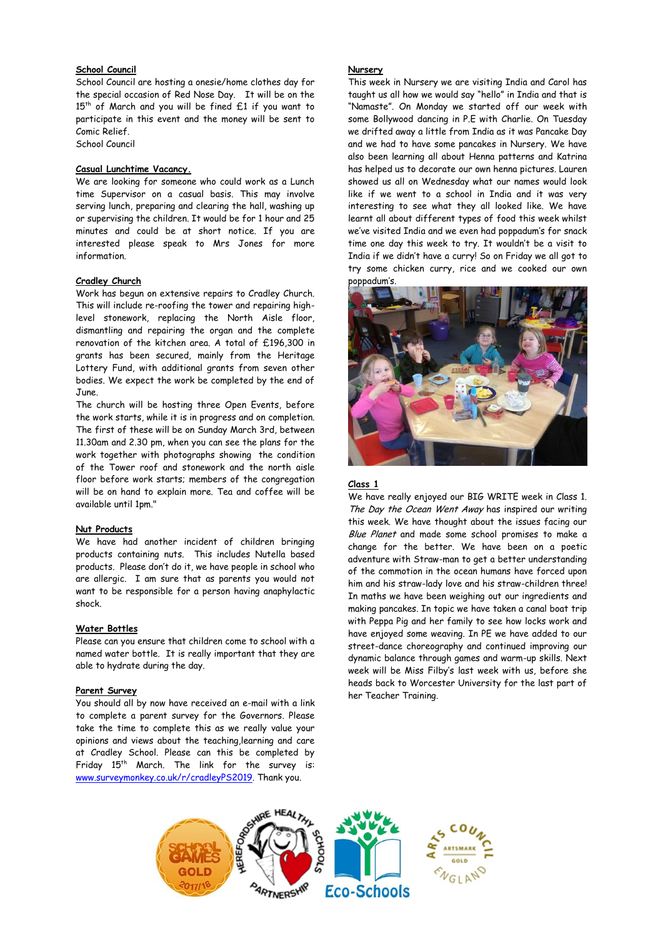# **School Council**

School Council are hosting a onesie/home clothes day for the special occasion of Red Nose Day. It will be on the  $15<sup>th</sup>$  of March and you will be fined  $£1$  if you want to participate in this event and the money will be sent to Comic Relief. School Council

# **Casual Lunchtime Vacancy.**

We are looking for someone who could work as a Lunch time Supervisor on a casual basis. This may involve serving lunch, preparing and clearing the hall, washing up or supervising the children. It would be for 1 hour and 25 minutes and could be at short notice. If you are interested please speak to Mrs Jones for more information.

#### **Cradley Church**

Work has begun on extensive repairs to Cradley Church. This will include re-roofing the tower and repairing highlevel stonework, replacing the North Aisle floor, dismantling and repairing the organ and the complete renovation of the kitchen area. A total of £196,300 in grants has been secured, mainly from the Heritage Lottery Fund, with additional grants from seven other bodies. We expect the work be completed by the end of June.

The church will be hosting three Open Events, before the work starts, while it is in progress and on completion. The first of these will be on Sunday March 3rd, between 11.30am and 2.30 pm, when you can see the plans for the work together with photographs showing the condition of the Tower roof and stonework and the north aisle floor before work starts; members of the congregation will be on hand to explain more. Tea and coffee will be available until 1pm."

# **Nut Products**

We have had another incident of children bringing products containing nuts. This includes Nutella based products. Please don't do it, we have people in school who are allergic. I am sure that as parents you would not want to be responsible for a person having anaphylactic shock.

#### **Water Bottles**

Please can you ensure that children come to school with a named water bottle. It is really important that they are able to hydrate during the day.

#### **Parent Survey**

You should all by now have received an e-mail with a link to complete a parent survey for the Governors. Please take the time to complete this as we really value your opinions and views about the teaching,learning and care at Cradley School. Please can this be completed by Friday 15<sup>th</sup> March. The link for the survey is: [www.surveymonkey.co.uk/r/cradleyPS2019.](http://www.surveymonkey.co.uk/r/cradleyPS2019) Thank you.

#### **Nursery**

This week in Nursery we are visiting India and Carol has taught us all how we would say "hello" in India and that is "Namaste". On Monday we started off our week with some Bollywood dancing in P.E with Charlie. On Tuesday we drifted away a little from India as it was Pancake Day and we had to have some pancakes in Nursery. We have also been learning all about Henna patterns and Katrina has helped us to decorate our own henna pictures. Lauren showed us all on Wednesday what our names would look like if we went to a school in India and it was very interesting to see what they all looked like. We have learnt all about different types of food this week whilst we've visited India and we even had poppadum's for snack time one day this week to try. It wouldn't be a visit to India if we didn't have a curry! So on Friday we all got to try some chicken curry, rice and we cooked our own poppadum's.



#### **Class 1**

We have really enjoyed our BIG WRITE week in Class 1. The Day the Ocean Went Away has inspired our writing this week. We have thought about the issues facing our Blue Planet and made some school promises to make a change for the better. We have been on a poetic adventure with Straw-man to get a better understanding of the commotion in the ocean humans have forced upon him and his straw-lady love and his straw-children three! In maths we have been weighing out our ingredients and making pancakes. In topic we have taken a canal boat trip with Peppa Pig and her family to see how locks work and have enjoyed some weaving. In PE we have added to our street-dance choreography and continued improving our dynamic balance through games and warm-up skills. Next week will be Miss Filby's last week with us, before she heads back to Worcester University for the last part of her Teacher Training.

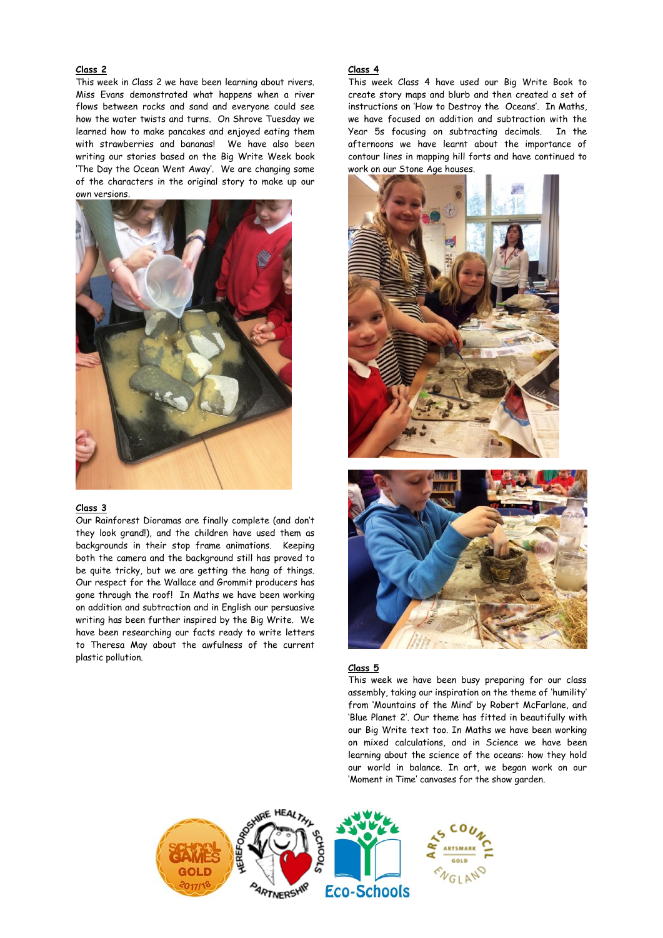# **Class 2**

This week in Class 2 we have been learning about rivers. Miss Evans demonstrated what happens when a river flows between rocks and sand and everyone could see how the water twists and turns. On Shrove Tuesday we learned how to make pancakes and enjoyed eating them with strawberries and bananas! We have also been writing our stories based on the Big Write Week book 'The Day the Ocean Went Away'. We are changing some of the characters in the original story to make up our own versions.



#### **Class 3**

Our Rainforest Dioramas are finally complete (and don't they look grand!), and the children have used them as backgrounds in their stop frame animations. Keeping both the camera and the background still has proved to be quite tricky, but we are getting the hang of things. Our respect for the Wallace and Grommit producers has gone through the roof! In Maths we have been working on addition and subtraction and in English our persuasive writing has been further inspired by the Big Write. We have been researching our facts ready to write letters to Theresa May about the awfulness of the current plastic pollution.

# **Class 4**

This week Class 4 have used our Big Write Book to create story maps and blurb and then created a set of instructions on 'How to Destroy the Oceans'. In Maths, we have focused on addition and subtraction with the Year 5s focusing on subtracting decimals. In the afternoons we have learnt about the importance of contour lines in mapping hill forts and have continued to work on our Stone Age houses.





#### **Class 5**

This week we have been busy preparing for our class assembly, taking our inspiration on the theme of 'humility' from 'Mountains of the Mind' by Robert McFarlane, and 'Blue Planet 2'. Our theme has fitted in beautifully with our Big Write text too. In Maths we have been working on mixed calculations, and in Science we have been learning about the science of the oceans: how they hold our world in balance. In art, we began work on our 'Moment in Time' canvases for the show garden.